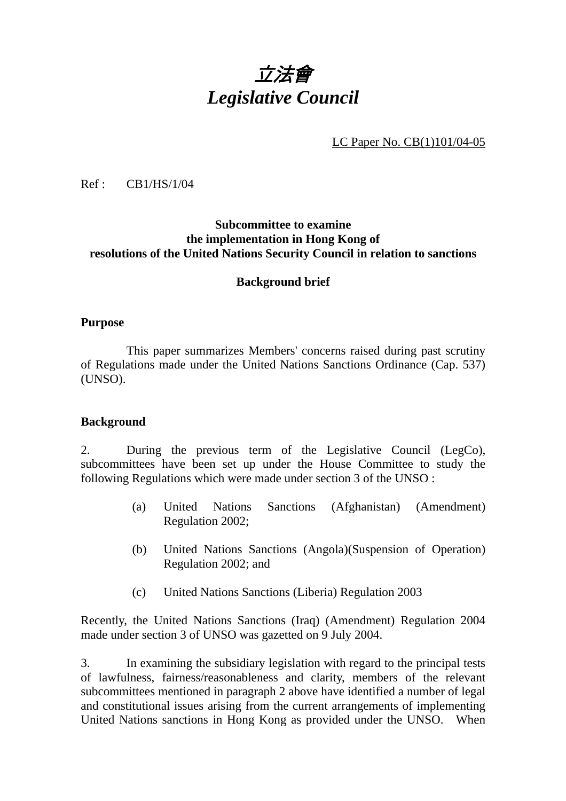# 立法會 *Legislative Council*

LC Paper No. CB(1)101/04-05

Ref : CB1/HS/1/04

#### **Subcommittee to examine the implementation in Hong Kong of resolutions of the United Nations Security Council in relation to sanctions**

#### **Background brief**

#### **Purpose**

1. This paper summarizes Members' concerns raised during past scrutiny of Regulations made under the United Nations Sanctions Ordinance (Cap. 537) (UNSO).

#### **Background**

2. During the previous term of the Legislative Council (LegCo), subcommittees have been set up under the House Committee to study the following Regulations which were made under section 3 of the UNSO :

- (a) United Nations Sanctions (Afghanistan) (Amendment) Regulation 2002;
- (b) United Nations Sanctions (Angola)(Suspension of Operation) Regulation 2002; and
- (c) United Nations Sanctions (Liberia) Regulation 2003

Recently, the United Nations Sanctions (Iraq) (Amendment) Regulation 2004 made under section 3 of UNSO was gazetted on 9 July 2004.

3. In examining the subsidiary legislation with regard to the principal tests of lawfulness, fairness/reasonableness and clarity, members of the relevant subcommittees mentioned in paragraph 2 above have identified a number of legal and constitutional issues arising from the current arrangements of implementing United Nations sanctions in Hong Kong as provided under the UNSO. When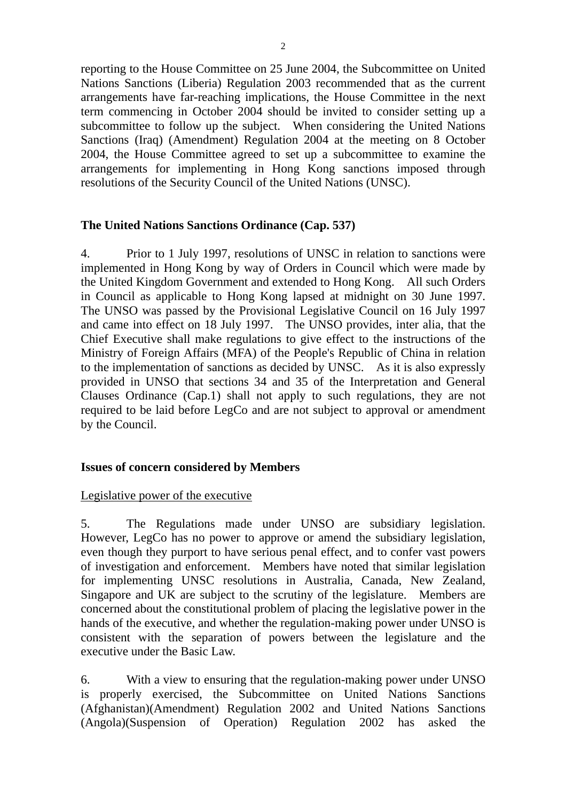reporting to the House Committee on 25 June 2004, the Subcommittee on United Nations Sanctions (Liberia) Regulation 2003 recommended that as the current arrangements have far-reaching implications, the House Committee in the next term commencing in October 2004 should be invited to consider setting up a subcommittee to follow up the subject. When considering the United Nations Sanctions (Iraq) (Amendment) Regulation 2004 at the meeting on 8 October 2004, the House Committee agreed to set up a subcommittee to examine the arrangements for implementing in Hong Kong sanctions imposed through resolutions of the Security Council of the United Nations (UNSC).

#### **The United Nations Sanctions Ordinance (Cap. 537)**

4. Prior to 1 July 1997, resolutions of UNSC in relation to sanctions were implemented in Hong Kong by way of Orders in Council which were made by the United Kingdom Government and extended to Hong Kong. All such Orders in Council as applicable to Hong Kong lapsed at midnight on 30 June 1997. The UNSO was passed by the Provisional Legislative Council on 16 July 1997 and came into effect on 18 July 1997. The UNSO provides, inter alia, that the Chief Executive shall make regulations to give effect to the instructions of the Ministry of Foreign Affairs (MFA) of the People's Republic of China in relation to the implementation of sanctions as decided by UNSC. As it is also expressly provided in UNSO that sections 34 and 35 of the Interpretation and General Clauses Ordinance (Cap.1) shall not apply to such regulations, they are not required to be laid before LegCo and are not subject to approval or amendment by the Council.

## **Issues of concern considered by Members**

#### Legislative power of the executive

5. The Regulations made under UNSO are subsidiary legislation. However, LegCo has no power to approve or amend the subsidiary legislation, even though they purport to have serious penal effect, and to confer vast powers of investigation and enforcement. Members have noted that similar legislation for implementing UNSC resolutions in Australia, Canada, New Zealand, Singapore and UK are subject to the scrutiny of the legislature. Members are concerned about the constitutional problem of placing the legislative power in the hands of the executive, and whether the regulation-making power under UNSO is consistent with the separation of powers between the legislature and the executive under the Basic Law.

6. With a view to ensuring that the regulation-making power under UNSO is properly exercised, the Subcommittee on United Nations Sanctions (Afghanistan)(Amendment) Regulation 2002 and United Nations Sanctions (Angola)(Suspension of Operation) Regulation 2002 has asked the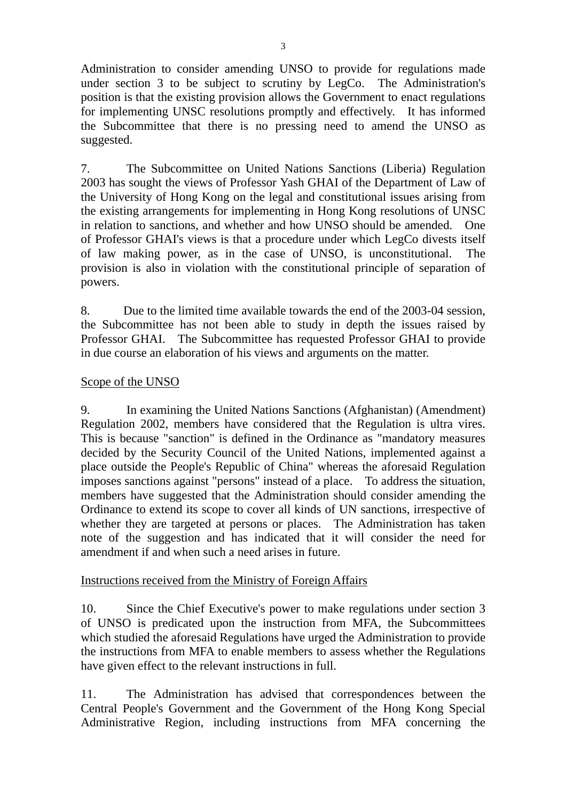Administration to consider amending UNSO to provide for regulations made under section 3 to be subject to scrutiny by LegCo. The Administration's position is that the existing provision allows the Government to enact regulations for implementing UNSC resolutions promptly and effectively. It has informed the Subcommittee that there is no pressing need to amend the UNSO as suggested.

7. The Subcommittee on United Nations Sanctions (Liberia) Regulation 2003 has sought the views of Professor Yash GHAI of the Department of Law of the University of Hong Kong on the legal and constitutional issues arising from the existing arrangements for implementing in Hong Kong resolutions of UNSC in relation to sanctions, and whether and how UNSO should be amended. One of Professor GHAI's views is that a procedure under which LegCo divests itself of law making power, as in the case of UNSO, is unconstitutional. The provision is also in violation with the constitutional principle of separation of powers.

8. Due to the limited time available towards the end of the 2003-04 session, the Subcommittee has not been able to study in depth the issues raised by Professor GHAI. The Subcommittee has requested Professor GHAI to provide in due course an elaboration of his views and arguments on the matter.

# Scope of the UNSO

9. In examining the United Nations Sanctions (Afghanistan) (Amendment) Regulation 2002, members have considered that the Regulation is ultra vires. This is because "sanction" is defined in the Ordinance as "mandatory measures decided by the Security Council of the United Nations, implemented against a place outside the People's Republic of China" whereas the aforesaid Regulation imposes sanctions against "persons" instead of a place. To address the situation, members have suggested that the Administration should consider amending the Ordinance to extend its scope to cover all kinds of UN sanctions, irrespective of whether they are targeted at persons or places. The Administration has taken note of the suggestion and has indicated that it will consider the need for amendment if and when such a need arises in future.

# Instructions received from the Ministry of Foreign Affairs

10. Since the Chief Executive's power to make regulations under section 3 of UNSO is predicated upon the instruction from MFA, the Subcommittees which studied the aforesaid Regulations have urged the Administration to provide the instructions from MFA to enable members to assess whether the Regulations have given effect to the relevant instructions in full.

11. The Administration has advised that correspondences between the Central People's Government and the Government of the Hong Kong Special Administrative Region, including instructions from MFA concerning the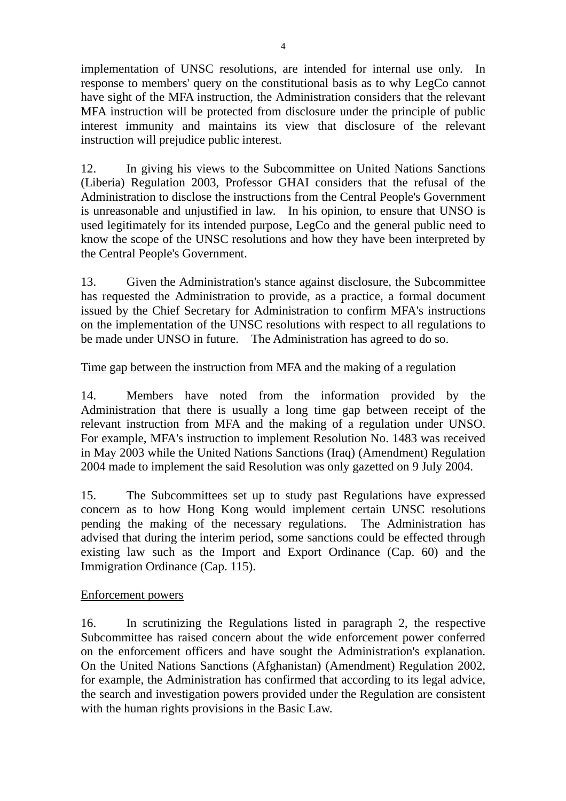implementation of UNSC resolutions, are intended for internal use only. In response to members' query on the constitutional basis as to why LegCo cannot have sight of the MFA instruction, the Administration considers that the relevant MFA instruction will be protected from disclosure under the principle of public interest immunity and maintains its view that disclosure of the relevant instruction will prejudice public interest.

12. In giving his views to the Subcommittee on United Nations Sanctions (Liberia) Regulation 2003, Professor GHAI considers that the refusal of the Administration to disclose the instructions from the Central People's Government is unreasonable and unjustified in law. In his opinion, to ensure that UNSO is used legitimately for its intended purpose, LegCo and the general public need to know the scope of the UNSC resolutions and how they have been interpreted by the Central People's Government.

13. Given the Administration's stance against disclosure, the Subcommittee has requested the Administration to provide, as a practice, a formal document issued by the Chief Secretary for Administration to confirm MFA's instructions on the implementation of the UNSC resolutions with respect to all regulations to be made under UNSO in future. The Administration has agreed to do so.

# Time gap between the instruction from MFA and the making of a regulation

14. Members have noted from the information provided by the Administration that there is usually a long time gap between receipt of the relevant instruction from MFA and the making of a regulation under UNSO. For example, MFA's instruction to implement Resolution No. 1483 was received in May 2003 while the United Nations Sanctions (Iraq) (Amendment) Regulation 2004 made to implement the said Resolution was only gazetted on 9 July 2004.

15. The Subcommittees set up to study past Regulations have expressed concern as to how Hong Kong would implement certain UNSC resolutions pending the making of the necessary regulations. The Administration has advised that during the interim period, some sanctions could be effected through existing law such as the Import and Export Ordinance (Cap. 60) and the Immigration Ordinance (Cap. 115).

## Enforcement powers

16. In scrutinizing the Regulations listed in paragraph 2, the respective Subcommittee has raised concern about the wide enforcement power conferred on the enforcement officers and have sought the Administration's explanation. On the United Nations Sanctions (Afghanistan) (Amendment) Regulation 2002, for example, the Administration has confirmed that according to its legal advice, the search and investigation powers provided under the Regulation are consistent with the human rights provisions in the Basic Law.